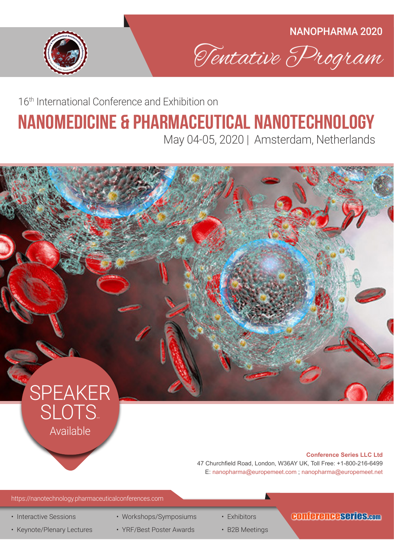



16th International Conference and Exhibition on

# nanomedicine & pharmaceutical NAnotechnology

May 04-05, 2020 | Amsterdam, Netherlands



https://nanotechnology.pharmaceuticalconferences.com

- Interactive Sessions
- Keynote/Plenary Lectures
- Workshops/Symposiums
- YRF/Best Poster Awards
- Exhibitors
- B2B Meetings

### conferenceseries.com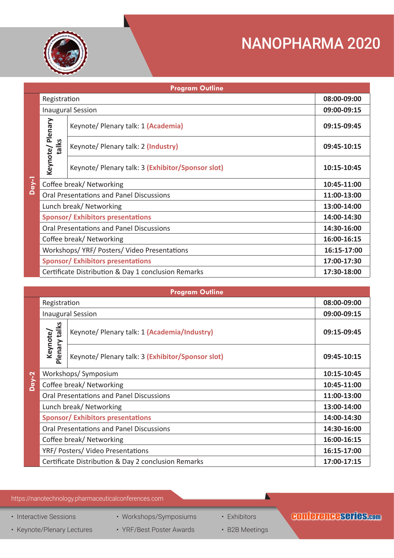

| <b>Program Outline</b> |                                                     |                                                   |             |  |  |  |
|------------------------|-----------------------------------------------------|---------------------------------------------------|-------------|--|--|--|
|                        | Registration                                        |                                                   | 08:00-09:00 |  |  |  |
|                        | <b>Inaugural Session</b>                            |                                                   | 09:00-09:15 |  |  |  |
|                        | Keynote/Plenary<br>talks                            | Keynote/ Plenary talk: 1 (Academia)               | 09:15-09:45 |  |  |  |
|                        |                                                     | Keynote/ Plenary talk: 2 (Industry)               | 09:45-10:15 |  |  |  |
|                        |                                                     | Keynote/ Plenary talk: 3 (Exhibitor/Sponsor slot) | 10:15-10:45 |  |  |  |
| $Day-1$                | Coffee break/ Networking                            |                                                   | 10:45-11:00 |  |  |  |
|                        | <b>Oral Presentations and Panel Discussions</b>     |                                                   | 11:00-13:00 |  |  |  |
|                        | Lunch break/ Networking                             |                                                   | 13:00-14:00 |  |  |  |
|                        | <b>Sponsor/ Exhibitors presentations</b>            |                                                   | 14:00-14:30 |  |  |  |
|                        | <b>Oral Presentations and Panel Discussions</b>     |                                                   | 14:30-16:00 |  |  |  |
|                        | Coffee break/ Networking                            |                                                   | 16:00-16:15 |  |  |  |
|                        | Workshops/YRF/Posters/Video Presentations           |                                                   | 16:15-17:00 |  |  |  |
|                        | <b>Sponsor/ Exhibitors presentations</b>            |                                                   | 17:00-17:30 |  |  |  |
|                        | Certificate Distribution & Day 1 conclusion Remarks |                                                   | 17:30-18:00 |  |  |  |

| <b>Program Outline</b> |                                                 |                                                     |             |  |  |  |
|------------------------|-------------------------------------------------|-----------------------------------------------------|-------------|--|--|--|
|                        | Registration                                    |                                                     | 08:00-09:00 |  |  |  |
|                        | <b>Inaugural Session</b>                        |                                                     | 09:00-09:15 |  |  |  |
|                        | Plenary talks<br>Keynote/                       | Keynote/ Plenary talk: 1 (Academia/Industry)        | 09:15-09:45 |  |  |  |
|                        |                                                 | Keynote/ Plenary talk: 3 (Exhibitor/Sponsor slot)   | 09:45-10:15 |  |  |  |
|                        | Workshops/Symposium                             |                                                     | 10:15-10:45 |  |  |  |
| $\overline{Day-2}$     | Coffee break/ Networking                        |                                                     | 10:45-11:00 |  |  |  |
|                        | <b>Oral Presentations and Panel Discussions</b> |                                                     | 11:00-13:00 |  |  |  |
|                        | Lunch break/ Networking                         |                                                     | 13:00-14:00 |  |  |  |
|                        | <b>Sponsor/Exhibitors presentations</b>         |                                                     | 14:00-14:30 |  |  |  |
|                        | <b>Oral Presentations and Panel Discussions</b> |                                                     | 14:30-16:00 |  |  |  |
|                        | Coffee break/ Networking                        |                                                     | 16:00-16:15 |  |  |  |
|                        | YRF/ Posters/ Video Presentations               |                                                     | 16:15-17:00 |  |  |  |
|                        |                                                 | Certificate Distribution & Day 2 conclusion Remarks | 17:00-17:15 |  |  |  |

#### https://nanotechnology.pharmaceuticalconferences.com

• Interactive Sessions

• Keynote/Plenary Lectures

- Workshops/Symposiums
	- YRF/Best Poster Awards
- Exhibitors
- B2B Meetings

 $\blacktriangle$ 

### conferenceseries.com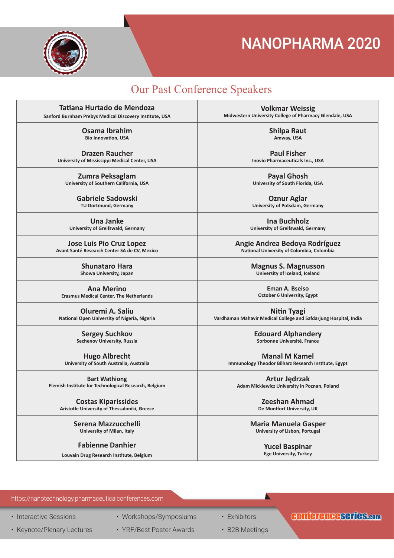

### Our Past Conference Speakers

| Tatiana Hurtado de Mendoza                              | <b>Volkmar Weissig</b>                                           |
|---------------------------------------------------------|------------------------------------------------------------------|
| Sanford Burnham Prebys Medical Discovery Institute, USA | Midwestern University College of Pharmacy Glendale, USA          |
| Osama Ibrahim                                           | <b>Shilpa Raut</b>                                               |
| <b>Bio Innovation, USA</b>                              | Amway, USA                                                       |
| <b>Drazen Raucher</b>                                   | <b>Paul Fisher</b>                                               |
| University of Mississippi Medical Center, USA           | Inovio Pharmaceuticals Inc., USA                                 |
| Zumra Peksaglam                                         | <b>Payal Ghosh</b>                                               |
| University of Southern California, USA                  | University of South Florida, USA                                 |
| Gabriele Sadowski                                       | <b>Oznur Aglar</b>                                               |
| TU Dortmund, Germany                                    | <b>University of Potsdam, Germany</b>                            |
| Una Janke                                               | Ina Buchholz                                                     |
| University of Greifswald, Germany                       | University of Greifswald, Germany                                |
| <b>Jose Luis Pio Cruz Lopez</b>                         | Angie Andrea Bedoya Rodríguez                                    |
| Avant Santé Research Center SA de CV, Mexico            | National University of Colombia, Colombia                        |
| <b>Shunataro Hara</b>                                   | <b>Magnus S. Magnusson</b>                                       |
| Showa University, Japan                                 | University of Iceland, Iceland                                   |
| <b>Ana Merino</b>                                       | <b>Eman A. Bseiso</b>                                            |
| <b>Erasmus Medical Center, The Netherlands</b>          | <b>October 6 University, Egypt</b>                               |
| Oluremi A. Saliu                                        | <b>Nitin Tyagi</b>                                               |
| National Open University of Nigeria, Nigeria            | Vardhaman Mahavir Medical College and Safdarjung Hospital, India |
| <b>Sergey Suchkov</b>                                   | <b>Edouard Alphandery</b>                                        |
| Sechenov University, Russia                             | Sorbonne Université, France                                      |
| <b>Hugo Albrecht</b>                                    | <b>Manal M Kamel</b>                                             |
| University of South Australia, Australia                | Immunology Theodor Bilharz Research Institute, Egypt             |
| <b>Bart Wathiong</b>                                    | Artur Jędrzak                                                    |
| Flemish Institute for Technological Research, Belgium   | Adam Mickiewicz University in Poznan, Poland                     |
| <b>Costas Kiparissides</b>                              | Zeeshan Ahmad                                                    |
| Aristotle University of Thessaloniki, Greece            | De Montfort University, UK                                       |
| Serena Mazzucchelli                                     | <b>Maria Manuela Gasper</b>                                      |
| University of Milan, Italy                              | University of Lisbon, Portugal                                   |
| <b>Fabienne Danhier</b>                                 | <b>Yucel Baspinar</b>                                            |
| Louvain Drug Research Institute, Belgium                | <b>Ege University, Turkey</b>                                    |

https://nanotechnology.pharmaceuticalconferences.com

• Interactive Sessions

• Keynote/Plenary Lectures

• Workshops/Symposiums

• YRF/Best Poster Awards

• Exhibitors

• B2B Meetings

### conferenceseries.com

 $\blacktriangle$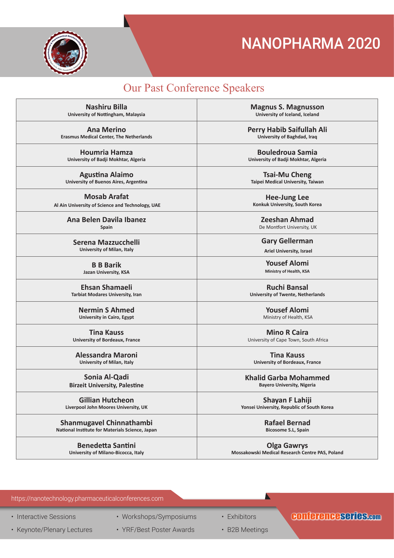

### Our Past Conference Speakers

**Nashiru Billa University of Nottingham, Malaysia**

**Ana Merino Erasmus Medical Center, The Netherlands**

**Houmria Hamza University of Badji Mokhtar, Algeria**

**Agustina Alaimo University of Buenos Aires, Argentina**

**Mosab Arafat Al Ain University of Science and Technology, UAE**

> **Ana Belen Davila Ibanez Spain**

**Serena Mazzucchelli University of Milan, Italy**

> **B B Barik Jazan University, KSA**

**Ehsan Shamaeli Tarbiat Modares University, Iran**

> **Nermin S Ahmed University in Cairo, Egypt**

**Tina Kauss University of Bordeaux, France**

**Alessandra Maroni University of Milan, Italy**

#### **Sonia Al-Qadi Birzeit University, Palestine**

**Gillian Hutcheon Liverpool John Moores University, UK**

**Shanmugavel Chinnathambi National Institute for Materials Science, Japan**

> **Benedetta Santini University of Milano-Bicocca, Italy**

**Magnus S. Magnusson University of Iceland, Iceland**

**Perry Habib Saifullah Ali University of Baghdad, Iraq**

**Bouledroua Samia University of Badji Mokhtar, Algeria**

**Tsai-Mu Cheng Taipei Medical University, Taiwan**

**Hee-Jung Lee Konkuk University, South Korea**

**Zeeshan Ahmad**  De Montfort University, UK

**Gary Gellerman Ariel University, Israel**

**Yousef Alomi Ministry of Health, KSA**

**Ruchi Bansal University of Twente, Netherlands**

> **Yousef Alomi**  Ministry of Health, KSA

**Mino R Caira**  University of Cape Town, South Africa

**Tina Kauss University of Bordeaux, France**

**Khalid Garba Mohammed Bayero University, Nigeria**

**Shayan F Lahiji Yonsei University, Republic of South Korea**

> **Rafael Bernad Bicosome S.L, Spain**

**Olga Gawrys Mossakowski Medical Research Centre PAS, Poland**

#### https://nanotechnology.pharmaceuticalconferences.com

• Interactive Sessions

• Keynote/Plenary Lectures

• Workshops/Symposiums

• YRF/Best Poster Awards

• Exhibitors

### conferenceseries.com

• B2B Meetings

 $\blacktriangle$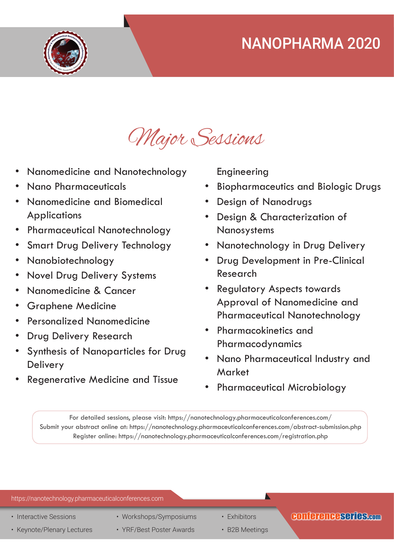

# Major Sessions

- Nanomedicine and Nanotechnology
- Nano Pharmaceuticals
- Nanomedicine and Biomedical **Applications**
- Pharmaceutical Nanotechnology
- Smart Drug Delivery Technology
- Nanobiotechnology
- Novel Drug Delivery Systems
- Nanomedicine & Cancer
- Graphene Medicine
- Personalized Nanomedicine
- **Drug Delivery Research**
- Synthesis of Nanoparticles for Drug Delivery
- Regenerative Medicine and Tissue

Engineering

- Biopharmaceutics and Biologic Drugs
- Design of Nanodrugs
- Design & Characterization of Nanosystems
- Nanotechnology in Drug Delivery
- Drug Development in Pre-Clinical Research
- Regulatory Aspects towards Approval of Nanomedicine and Pharmaceutical Nanotechnology
- Pharmacokinetics and Pharmacodynamics
- Nano Pharmaceutical Industry and **Market**
- Pharmaceutical Microbiology

For detailed sessions, please visit: https://nanotechnology.pharmaceuticalconferences.com/ Submit your abstract online at: https://nanotechnology.pharmaceuticalconferences.com/abstract-submission.php Register online: https://nanotechnology.pharmaceuticalconferences.com/registration.php

| https://nanotechnology.pharmaceuticalconferences.com |                          |                |                      |  |  |  |  |
|------------------------------------------------------|--------------------------|----------------|----------------------|--|--|--|--|
| • Interactive Sessions                               | • Workshops/Symposiums   | • Exhibitors   | CONTETENCESCITES.com |  |  |  |  |
| • Keynote/Plenary Lectures                           | • YRF/Best Poster Awards | • B2B Meetings |                      |  |  |  |  |